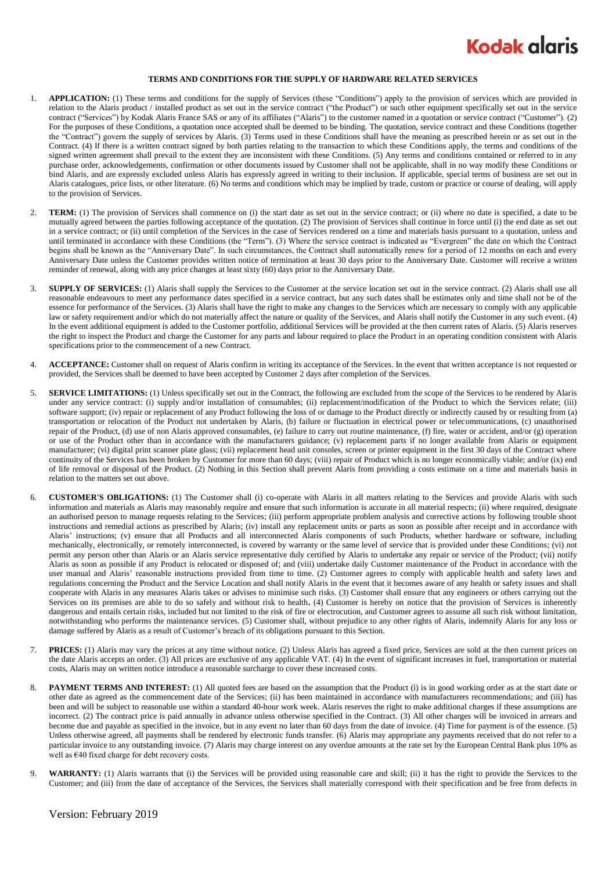

## **TERMS AND CONDITIONS FOR THE SUPPLY OF HARDWARE RELATED SERVICES**

- 1. **APPLICATION:** (1) These terms and conditions for the supply of Services (these "Conditions") apply to the provision of services which are provided in relation to the Alaris product / installed product as set out in the service contract ("the Product") or such other equipment specifically set out in the service contract ("Services") by Kodak Alaris France SAS or any of its affiliates ("Alaris") to the customer named in a quotation or service contract ("Customer"). (2) For the purposes of these Conditions, a quotation once accepted shall be deemed to be binding. The quotation, service contract and these Conditions (together the "Contract") govern the supply of services by Alaris. (3) Terms used in these Conditions shall have the meaning as prescribed herein or as set out in the Contract. (4) If there is a written contract signed by both parties relating to the transaction to which these Conditions apply, the terms and conditions of the signed written agreement shall prevail to the extent they are inconsistent with these Conditions. (5) Any terms and conditions contained or referred to in any purchase order, acknowledgements, confirmation or other documents issued by Customer shall not be applicable, shall in no way modify these Conditions or bind Alaris, and are expressly excluded unless Alaris has expressly agreed in writing to their inclusion. If applicable, special terms of business are set out in Alaris catalogues, price lists, or other literature. (6) No terms and conditions which may be implied by trade, custom or practice or course of dealing, will apply to the provision of Services.
- 2. **TERM:** (1) The provision of Services shall commence on (i) the start date as set out in the service contract; or (ii) where no date is specified, a date to be mutually agreed between the parties following acceptance of the quotation. (2) The provision of Services shall continue in force until (i) the end date as set out in a service contract; or (ii) until completion of the Services in the case of Services rendered on a time and materials basis pursuant to a quotation, unless and until terminated in accordance with these Conditions (the "Term"). (3) Where the service contract is indicated as "Evergreen" the date on which the Contract begins shall be known as the "Anniversary Date". In such circumstances, the Contract shall automatically renew for a period of 12 months on each and every Anniversary Date unless the Customer provides written notice of termination at least 30 days prior to the Anniversary Date. Customer will receive a written reminder of renewal, along with any price changes at least sixty (60) days prior to the Anniversary Date.
- 3. **SUPPLY OF SERVICES:** (1) Alaris shall supply the Services to the Customer at the service location set out in the service contract. (2) Alaris shall use all reasonable endeavours to meet any performance dates specified in a service contract, but any such dates shall be estimates only and time shall not be of the essence for performance of the Services. (3) Alaris shall have the right to make any changes to the Services which are necessary to comply with any applicable law or safety requirement and/or which do not materially affect the nature or quality of the Services, and Alaris shall notify the Customer in any such event. (4) In the event additional equipment is added to the Customer portfolio, additional Services will be provided at the then current rates of Alaris. (5) Alaris reserves the right to inspect the Product and charge the Customer for any parts and labour required to place the Product in an operating condition consistent with Alaris specifications prior to the commencement of a new Contract.
- 4. **ACCEPTANCE:** Customer shall on request of Alaris confirm in writing its acceptance of the Services. In the event that written acceptance is not requested or provided, the Services shall be deemed to have been accepted by Customer 2 days after completion of the Services.
- 5. **SERVICE LIMITATIONS:** (1) Unless specifically set out in the Contract, the following are excluded from the scope of the Services to be rendered by Alaris under any service contract: (i) supply and/or installation of consumables; (ii) replacement/modification of the Product to which the Services relate; (iii) software support; (iv) repair or replacement of any Product following the loss of or damage to the Product directly or indirectly caused by or resulting from (a) transportation or relocation of the Product not undertaken by Alaris, (b) failure or fluctuation in electrical power or telecommunications, (c) unauthorised repair of the Product, (d) use of non Alaris approved consumables, (e) failure to carry out routine maintenance, (f) fire, water or accident, and/or (g) operation or use of the Product other than in accordance with the manufacturers guidance; (v) replacement parts if no longer available from Alaris or equipment manufacturer; (vi) digital print scanner plate glass; (vii) replacement head unit consoles, screen or printer equipment in the first 30 days of the Contract where continuity of the Services has been broken by Customer for more than 60 days; (viii) repair of Product which is no longer economically viable; and/or (ix) end of life removal or disposal of the Product. (2) Nothing in this Section shall prevent Alaris from providing a costs estimate on a time and materials basis in relation to the matters set out above.
- <span id="page-0-0"></span>6. **CUSTOMER'S OBLIGATIONS:** (1) The Customer shall (i) co-operate with Alaris in all matters relating to the Services and provide Alaris with such information and materials as Alaris may reasonably require and ensure that such information is accurate in all material respects; (ii) where required, designate an authorised person to manage requests relating to the Services; (iii) perform appropriate problem analysis and corrective actions by following trouble shoot instructions and remedial actions as prescribed by Alaris; (iv) install any replacement units or parts as soon as possible after receipt and in accordance with Alaris' instructions; (v) ensure that all Products and all interconnected Alaris components of such Products, whether hardware or software, including mechanically, electronically, or remotely interconnected, is covered by warranty or the same level of service that is provided under these Conditions; (vi) not permit any person other than Alaris or an Alaris service representative duly certified by Alaris to undertake any repair or service of the Product; (vii) notify Alaris as soon as possible if any Product is relocated or disposed of; and (viii) undertake daily Customer maintenance of the Product in accordance with the user manual and Alaris' reasonable instructions provided from time to time. (2) Customer agrees to comply with applicable health and safety laws and regulations concerning the Product and the Service Location and shall notify Alaris in the event that it becomes aware of any health or safety issues and shall cooperate with Alaris in any measures Alaris takes or advises to minimise such risks. (3) Customer shall ensure that any engineers or others carrying out the Services on its premises are able to do so safely and without risk to health**.** (4) Customer is hereby on notice that the provision of Services is inherently dangerous and entails certain risks, included but not limited to the risk of fire or electrocution, and Customer agrees to assume all such risk without limitation, notwithstanding who performs the maintenance services. (5) Customer shall, without prejudice to any other rights of Alaris, indemnify Alaris for any loss or damage suffered by Alaris as a result of Customer's breach of its obligations pursuant to this Section.
- 7. **PRICES:** (1) Alaris may vary the prices at any time without notice. (2) Unless Alaris has agreed a fixed price, Services are sold at the then current prices on the date Alaris accepts an order. (3) All prices are exclusive of any applicable VAT. (4) In the event of significant increases in fuel, transportation or material costs, Alaris may on written notice introduce a reasonable surcharge to cover these increased costs.
- 8. **PAYMENT TERMS AND INTEREST:** (1) All quoted fees are based on the assumption that the Product (i) is in good working order as at the start date or other date as agreed as the commencement date of the Services; (ii) has been maintained in accordance with manufacturers recommendations; and (iii) has been and will be subject to reasonable use within a standard 40-hour work week. Alaris reserves the right to make additional charges if these assumptions are incorrect. (2) The contract price is paid annually in advance unless otherwise specified in the Contract. (3) All other charges will be invoiced in arrears and become due and payable as specified in the invoice, but in any event no later than 60 days from the date of invoice. (4) Time for payment is of the essence. (5) Unless otherwise agreed, all payments shall be rendered by electronic funds transfer. (6) Alaris may appropriate any payments received that do not refer to a particular invoice to any outstanding invoice. (7) Alaris may charge interest on any overdue amounts at the rate set by the European Central Bank plus 10% as well as €40 fixed charge for debt recovery costs.
- 9. **WARRANTY:** (1) Alaris warrants that (i) the Services will be provided using reasonable care and skill; (ii) it has the right to provide the Services to the Customer; and (iii) from the date of acceptance of the Services, the Services shall materially correspond with their specification and be free from defects in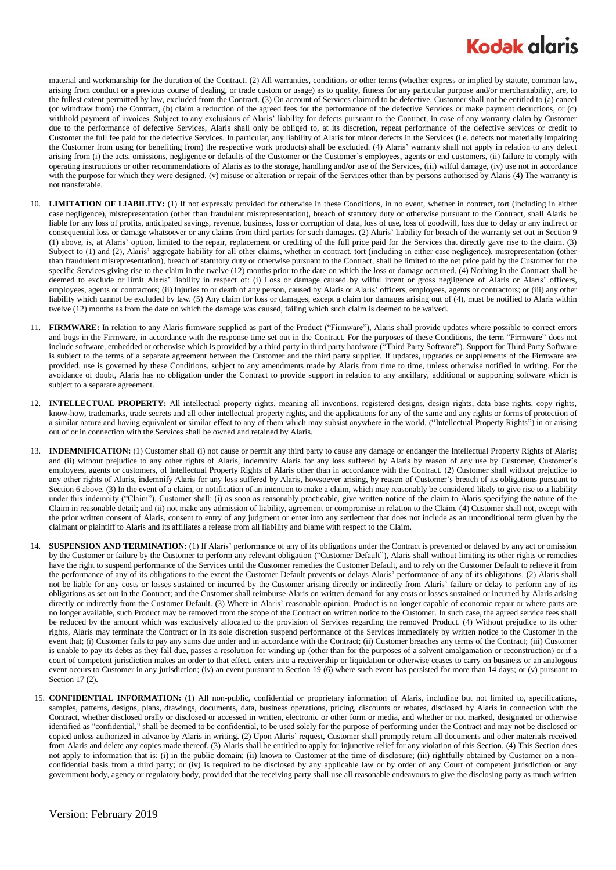## **Kodak glaris**

material and workmanship for the duration of the Contract. (2) All warranties, conditions or other terms (whether express or implied by statute, common law, arising from conduct or a previous course of dealing, or trade custom or usage) as to quality, fitness for any particular purpose and/or merchantability, are, to the fullest extent permitted by law, excluded from the Contract. (3) On account of Services claimed to be defective, Customer shall not be entitled to (a) cancel (or withdraw from) the Contract, (b) claim a reduction of the agreed fees for the performance of the defective Services or make payment deductions, or (c) withhold payment of invoices. Subject to any exclusions of Alaris' liability for defects pursuant to the Contract, in case of any warranty claim by Customer due to the performance of defective Services, Alaris shall only be obliged to, at its discretion, repeat performance of the defective services or credit to Customer the full fee paid for the defective Services. In particular, any liability of Alaris for minor defects in the Services (i.e. defects not materially impairing the Customer from using (or benefiting from) the respective work products) shall be excluded. (4) Alaris' warranty shall not apply in relation to any defect arising from (i) the acts, omissions, negligence or defaults of the Customer or the Customer's employees, agents or end customers, (ii) failure to comply with operating instructions or other recommendations of Alaris as to the storage, handling and/or use of the Services, (iii) wilful damage, (iv) use not in accordance with the purpose for which they were designed, (v) misuse or alteration or repair of the Services other than by persons authorised by Alaris (4) The warranty is not transferable.

- 10. **LIMITATION OF LIABILITY:** (1) If not expressly provided for otherwise in these Conditions, in no event, whether in contract, tort (including in either case negligence), misrepresentation (other than fraudulent misrepresentation), breach of statutory duty or otherwise pursuant to the Contract, shall Alaris be liable for any loss of profits, anticipated savings, revenue, business, loss or corruption of data, loss of use, loss of goodwill, loss due to delay or any indirect or consequential loss or damage whatsoever or any claims from third parties for such damages. (2) Alaris' liability for breach of the warranty set out in Section 9 (1) above, is, at Alaris' option, limited to the repair, replacement or crediting of the full price paid for the Services that directly gave rise to the claim. (3) Subject to (1) and (2), Alaris' aggregate liability for all other claims, whether in contract, tort (including in either case negligence), misrepresentation (other than fraudulent misrepresentation), breach of statutory duty or otherwise pursuant to the Contract, shall be limited to the net price paid by the Customer for the specific Services giving rise to the claim in the twelve (12) months prior to the date on which the loss or damage occurred. (4) Nothing in the Contract shall be deemed to exclude or limit Alaris' liability in respect of: (i) Loss or damage caused by wilful intent or gross negligence of Alaris or Alaris' officers, employees, agents or contractors; (ii) Injuries to or death of any person, caused by Alaris or Alaris' officers, employees, agents or contractors; or (iii) any other liability which cannot be excluded by law. (5) Any claim for loss or damages, except a claim for damages arising out of (4), must be notified to Alaris within twelve (12) months as from the date on which the damage was caused, failing which such claim is deemed to be waived.
- 11. **FIRMWARE:** In relation to any Alaris firmware supplied as part of the Product ("Firmware"), Alaris shall provide updates where possible to correct errors and bugs in the Firmware, in accordance with the response time set out in the Contract. For the purposes of these Conditions, the term "Firmware" does not include software, embedded or otherwise which is provided by a third party in third party hardware ("Third Party Software"). Support for Third Party Software is subject to the terms of a separate agreement between the Customer and the third party supplier. If updates, upgrades or supplements of the Firmware are provided, use is governed by these Conditions, subject to any amendments made by Alaris from time to time, unless otherwise notified in writing. For the avoidance of doubt, Alaris has no obligation under the Contract to provide support in relation to any ancillary, additional or supporting software which is subject to a separate agreement.
- 12. **INTELLECTUAL PROPERTY:** All intellectual property rights, meaning all inventions, registered designs, design rights, data base rights, copy rights, know-how, trademarks, trade secrets and all other intellectual property rights, and the applications for any of the same and any rights or forms of protection of a similar nature and having equivalent or similar effect to any of them which may subsist anywhere in the world, ("Intellectual Property Rights") in or arising out of or in connection with the Services shall be owned and retained by Alaris.
- 13. **INDEMNIFICATION:** (1) Customer shall (i) not cause or permit any third party to cause any damage or endanger the Intellectual Property Rights of Alaris; and (ii) without prejudice to any other rights of Alaris, indemnify Alaris for any loss suffered by Alaris by reason of any use by Customer, Customer's employees, agents or customers, of Intellectual Property Rights of Alaris other than in accordance with the Contract. (2) Customer shall without prejudice to any other rights of Alaris, indemnify Alaris for any loss suffered by Alaris, howsoever arising, by reason of Customer's breach of its obligations pursuant to Sectio[n 6](#page-0-0) above. (3) In the event of a claim, or notification of an intention to make a claim, which may reasonably be considered likely to give rise to a liability under this indemnity ("Claim"), Customer shall: (i) as soon as reasonably practicable, give written notice of the claim to Alaris specifying the nature of the Claim in reasonable detail; and (ii) not make any admission of liability, agreement or compromise in relation to the Claim. (4) Customer shall not, except with the prior written consent of Alaris, consent to entry of any judgment or enter into any settlement that does not include as an unconditional term given by the claimant or plaintiff to Alaris and its affiliates a release from all liability and blame with respect to the Claim.
- 14. **SUSPENSION AND TERMINATION:** (1) If Alaris' performance of any of its obligations under the Contract is prevented or delayed by any act or omission by the Customer or failure by the Customer to perform any relevant obligation ("Customer Default"), Alaris shall without limiting its other rights or remedies have the right to suspend performance of the Services until the Customer remedies the Customer Default, and to rely on the Customer Default to relieve it from the performance of any of its obligations to the extent the Customer Default prevents or delays Alaris' performance of any of its obligations. (2) Alaris shall not be liable for any costs or losses sustained or incurred by the Customer arising directly or indirectly from Alaris' failure or delay to perform any of its obligations as set out in the Contract; and the Customer shall reimburse Alaris on written demand for any costs or losses sustained or incurred by Alaris arising directly or indirectly from the Customer Default. (3) Where in Alaris' reasonable opinion, Product is no longer capable of economic repair or where parts are no longer available, such Product may be removed from the scope of the Contract on written notice to the Customer. In such case, the agreed service fees shall be reduced by the amount which was exclusively allocated to the provision of Services regarding the removed Product. (4) Without prejudice to its other rights, Alaris may terminate the Contract or in its sole discretion suspend performance of the Services immediately by written notice to the Customer in the event that; (i) Customer fails to pay any sums due under and in accordance with the Contract; (ii) Customer breaches any terms of the Contract; (iii) Customer is unable to pay its debts as they fall due, passes a resolution for winding up (other than for the purposes of a solvent amalgamation or reconstruction) or if a court of competent jurisdiction makes an order to that effect, enters into a receivership or liquidation or otherwise ceases to carry on business or an analogous event occurs to Customer in any jurisdiction; (iv) an event pursuant to Section 19 (6) where such event has persisted for more than 14 days; or (v) pursuant to Sectio[n 17](#page-2-0) (2).
- 15. **CONFIDENTIAL INFORMATION:** (1) All non-public, confidential or proprietary information of Alaris, including but not limited to, specifications, samples, patterns, designs, plans, drawings, documents, data, business operations, pricing, discounts or rebates, disclosed by Alaris in connection with the Contract, whether disclosed orally or disclosed or accessed in written, electronic or other form or media, and whether or not marked, designated or otherwise identified as "confidential," shall be deemed to be confidential, to be used solely for the purpose of performing under the Contract and may not be disclosed or copied unless authorized in advance by Alaris in writing. (2) Upon Alaris' request, Customer shall promptly return all documents and other materials received from Alaris and delete any copies made thereof. (3) Alaris shall be entitled to apply for injunctive relief for any violation of this Section. (4) This Section does not apply to information that is: (i) in the public domain; (ii) known to Customer at the time of disclosure; (iii) rightfully obtained by Customer on a nonconfidential basis from a third party; or (iv) is required to be disclosed by any applicable law or by order of any Court of competent jurisdiction or any government body, agency or regulatory body, provided that the receiving party shall use all reasonable endeavours to give the disclosing party as much written